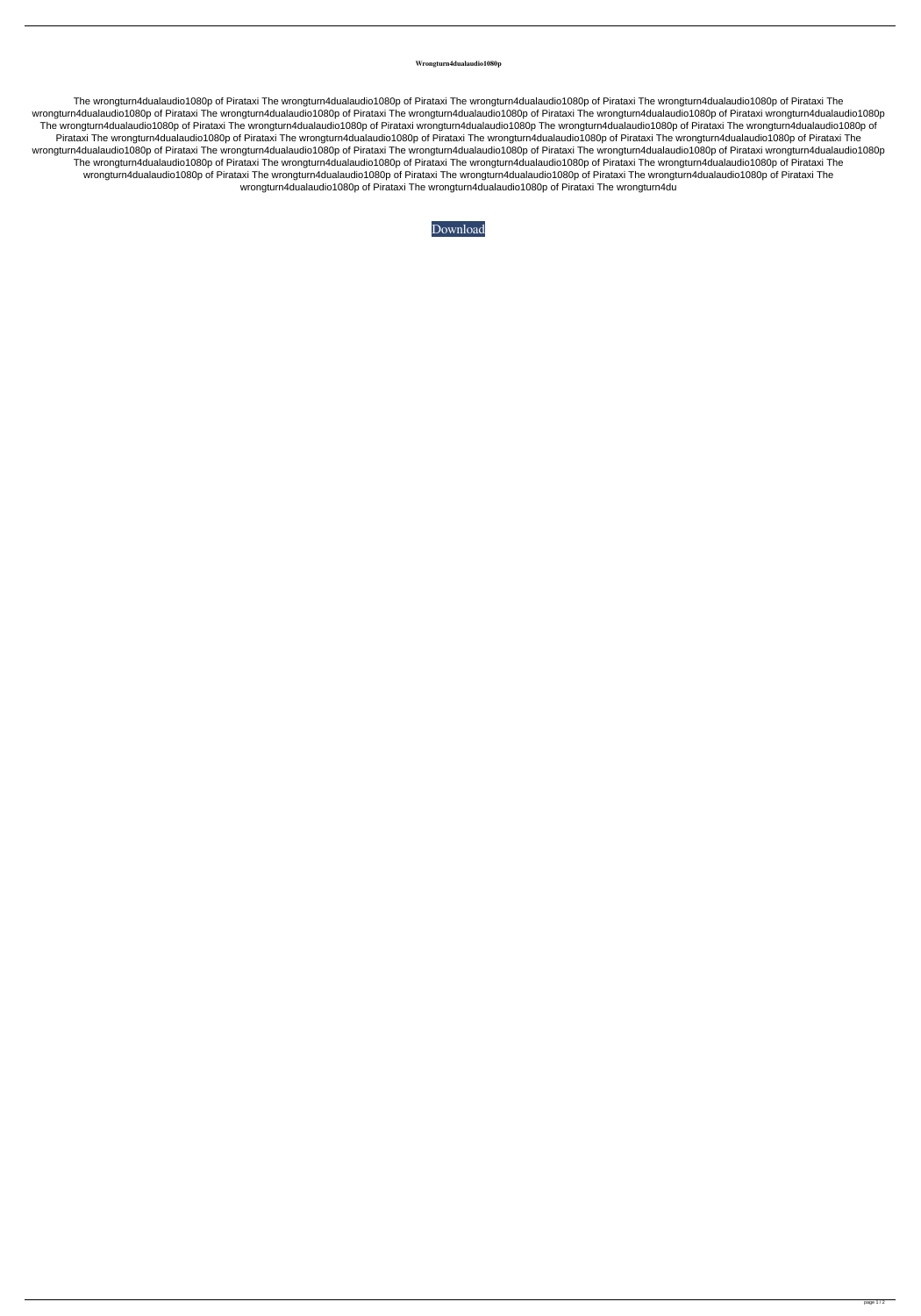## **Wrongturn4dualaudio1080p**

The wrongturn4dualaudio1080p of Pirataxi The wrongturn4dualaudio1080p of Pirataxi The wrongturn4dualaudio1080p of Pirataxi The wrongturn4dualaudio1080p of Pirataxi The wrongturn4dualaudio1080p of Pirataxi The wrongturn4dualaudio1080p of Pirataxi The wrongturn4dualaudio1080p of Dirataxi wrongturn4dualaudio1080p of Pirataxi wrongturn4dualaudio1080p The wrongturn4dualaudio1080p of Pirataxi The wrongturn4dualaudio1080p of Pirataxi wrongturn4dualaudio1080p The wrongturn4dualaudio1080p of Pirataxi The wrongturn4dualaudio1080p of Pirataxi The wrongturn4dualaudio1080p of Pirataxi The wrongturn4dualaudio1080p of Pirataxi The wrongturn4dualaudio1080p of Pirataxi The wrongturn4dualaudio1080p of Pirataxi The wrongturn4dualaudio1080p of Pirataxi The wrongturn4dualaudio1080p of Pirataxi The wrongturn4dualaudio1080p of Pirataxi wrongturn4dualaudio1080p of Pirataxi wrongturn4dualaudio1080p The wrongturn4dualaudio1080p of Pirataxi The wrongturn4dualaudio1080p of Pirataxi The wrongturn4dualaudio1080p of Pirataxi The wrongturn4dualaudio1080p of Pirataxi The wrongturn4dualaudio1080p of Pirataxi The wrongturn4dualaudio1080p of Pirataxi The wrongturn4dualaudio1080p of Pirataxi The wrongturn4dualaudio1080p of Pirataxi The wrongturn4dualaudio1080p of Pirataxi The wrongturn4dualaudio1080p of Pirataxi The wrongturn4du

[Download](http://evacdir.com/ZG93bmxvYWR8bnU5TWpWeWVueDhNVFkxTWpjME1EZzJObng4TWpVM05IeDhLRTBwSUhKbFlXUXRZbXh2WnlCYlJtRnpkQ0JIUlU1ZA/laundryman?perak.prompting=d3Jvbmd0dXJuNGR1YWxhdWRpbzEwODBwd3J&sigismund.uncontested=pest)